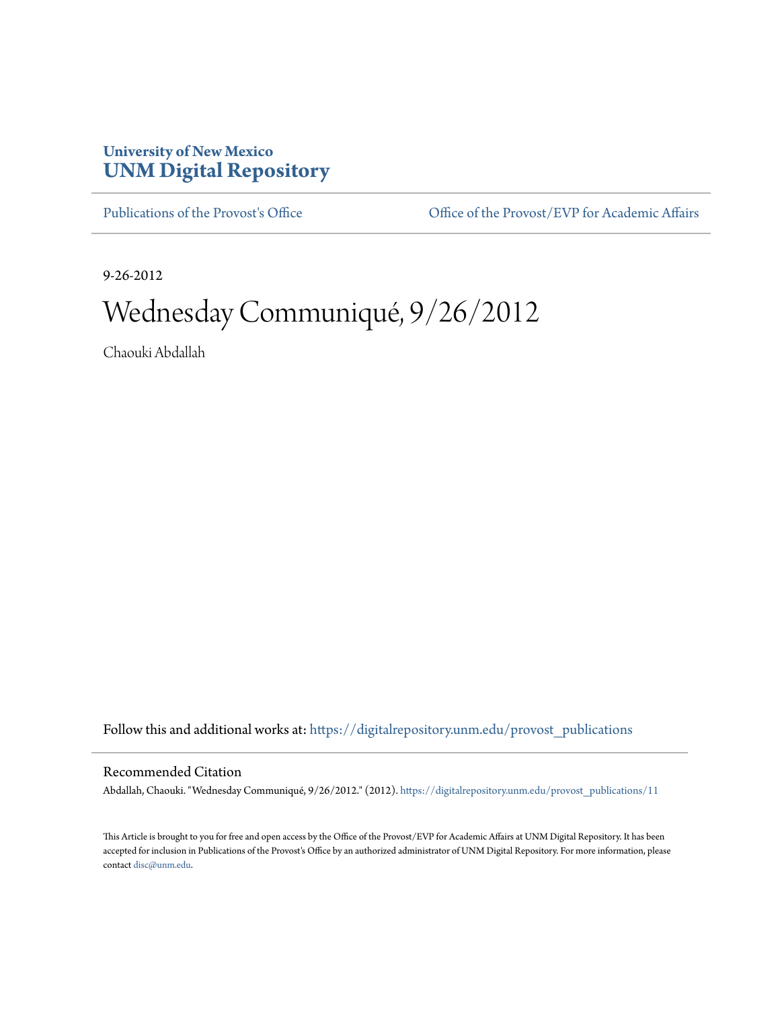## **University of New Mexico [UNM Digital Repository](https://digitalrepository.unm.edu?utm_source=digitalrepository.unm.edu%2Fprovost_publications%2F11&utm_medium=PDF&utm_campaign=PDFCoverPages)**

[Publications of the Provost's Office](https://digitalrepository.unm.edu/provost_publications?utm_source=digitalrepository.unm.edu%2Fprovost_publications%2F11&utm_medium=PDF&utm_campaign=PDFCoverPages) Office [Office of the Provost/EVP for Academic Affairs](https://digitalrepository.unm.edu/ofc_provost?utm_source=digitalrepository.unm.edu%2Fprovost_publications%2F11&utm_medium=PDF&utm_campaign=PDFCoverPages)

9-26-2012

# Wednesday Communiqué, 9/26/2012

Chaouki Abdallah

Follow this and additional works at: [https://digitalrepository.unm.edu/provost\\_publications](https://digitalrepository.unm.edu/provost_publications?utm_source=digitalrepository.unm.edu%2Fprovost_publications%2F11&utm_medium=PDF&utm_campaign=PDFCoverPages)

#### Recommended Citation

Abdallah, Chaouki. "Wednesday Communiqué, 9/26/2012." (2012). [https://digitalrepository.unm.edu/provost\\_publications/11](https://digitalrepository.unm.edu/provost_publications/11?utm_source=digitalrepository.unm.edu%2Fprovost_publications%2F11&utm_medium=PDF&utm_campaign=PDFCoverPages)

This Article is brought to you for free and open access by the Office of the Provost/EVP for Academic Affairs at UNM Digital Repository. It has been accepted for inclusion in Publications of the Provost's Office by an authorized administrator of UNM Digital Repository. For more information, please contact [disc@unm.edu.](mailto:disc@unm.edu)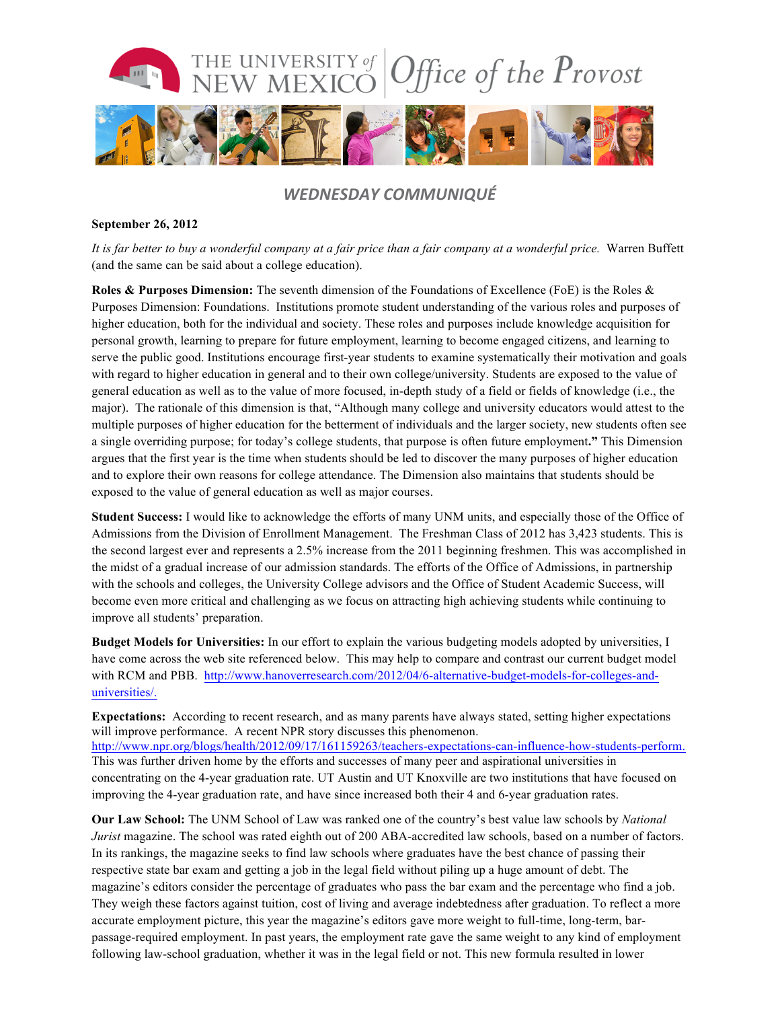

### *WEDNESDAY COMMUNIQUÉ*

#### **September 26, 2012**

*It is far better to buy a wonderful company at a fair price than a fair company at a wonderful price.* Warren Buffett (and the same can be said about a college education).

**Roles & Purposes Dimension:** The seventh dimension of the Foundations of Excellence (FoE) is the Roles & Purposes Dimension: Foundations. Institutions promote student understanding of the various roles and purposes of higher education, both for the individual and society. These roles and purposes include knowledge acquisition for personal growth, learning to prepare for future employment, learning to become engaged citizens, and learning to serve the public good. Institutions encourage first-year students to examine systematically their motivation and goals with regard to higher education in general and to their own college/university. Students are exposed to the value of general education as well as to the value of more focused, in-depth study of a field or fields of knowledge (i.e., the major). The rationale of this dimension is that, "Although many college and university educators would attest to the multiple purposes of higher education for the betterment of individuals and the larger society, new students often see a single overriding purpose; for today's college students, that purpose is often future employment**."** This Dimension argues that the first year is the time when students should be led to discover the many purposes of higher education and to explore their own reasons for college attendance. The Dimension also maintains that students should be exposed to the value of general education as well as major courses.

**Student Success:** I would like to acknowledge the efforts of many UNM units, and especially those of the Office of Admissions from the Division of Enrollment Management. The Freshman Class of 2012 has 3,423 students. This is the second largest ever and represents a 2.5% increase from the 2011 beginning freshmen. This was accomplished in the midst of a gradual increase of our admission standards. The efforts of the Office of Admissions, in partnership with the schools and colleges, the University College advisors and the Office of Student Academic Success, will become even more critical and challenging as we focus on attracting high achieving students while continuing to improve all students' preparation.

**Budget Models for Universities:** In our effort to explain the various budgeting models adopted by universities, I have come across the web site referenced below. This may help to compare and contrast our current budget model with RCM and PBB. http://www.hanoverresearch.com/2012/04/6-alternative-budget-models-for-colleges-anduniversities/.

**Expectations:** According to recent research, and as many parents have always stated, setting higher expectations will improve performance. A recent NPR story discusses this phenomenon. http://www.npr.org/blogs/health/2012/09/17/161159263/teachers-expectations-can-influence-how-students-perform. This was further driven home by the efforts and successes of many peer and aspirational universities in concentrating on the 4-year graduation rate. UT Austin and UT Knoxville are two institutions that have focused on improving the 4-year graduation rate, and have since increased both their 4 and 6-year graduation rates.

**Our Law School:** The UNM School of Law was ranked one of the country's best value law schools by *National Jurist* magazine. The school was rated eighth out of 200 ABA-accredited law schools, based on a number of factors. In its rankings, the magazine seeks to find law schools where graduates have the best chance of passing their respective state bar exam and getting a job in the legal field without piling up a huge amount of debt. The magazine's editors consider the percentage of graduates who pass the bar exam and the percentage who find a job. They weigh these factors against tuition, cost of living and average indebtedness after graduation. To reflect a more accurate employment picture, this year the magazine's editors gave more weight to full-time, long-term, barpassage-required employment. In past years, the employment rate gave the same weight to any kind of employment following law-school graduation, whether it was in the legal field or not. This new formula resulted in lower